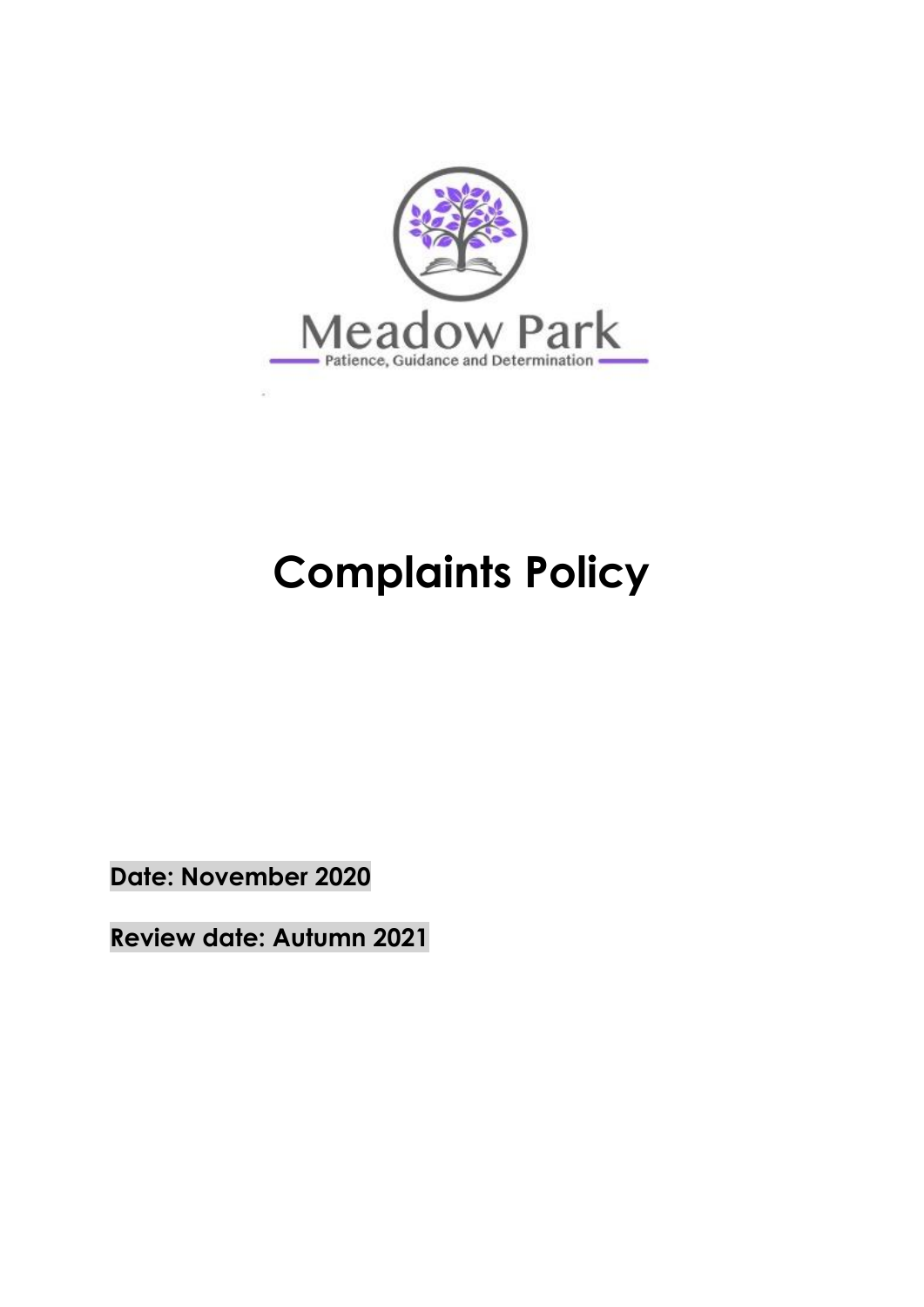

# **Complaints Policy**

**Date: November 2020**

**Review date: Autumn 2021**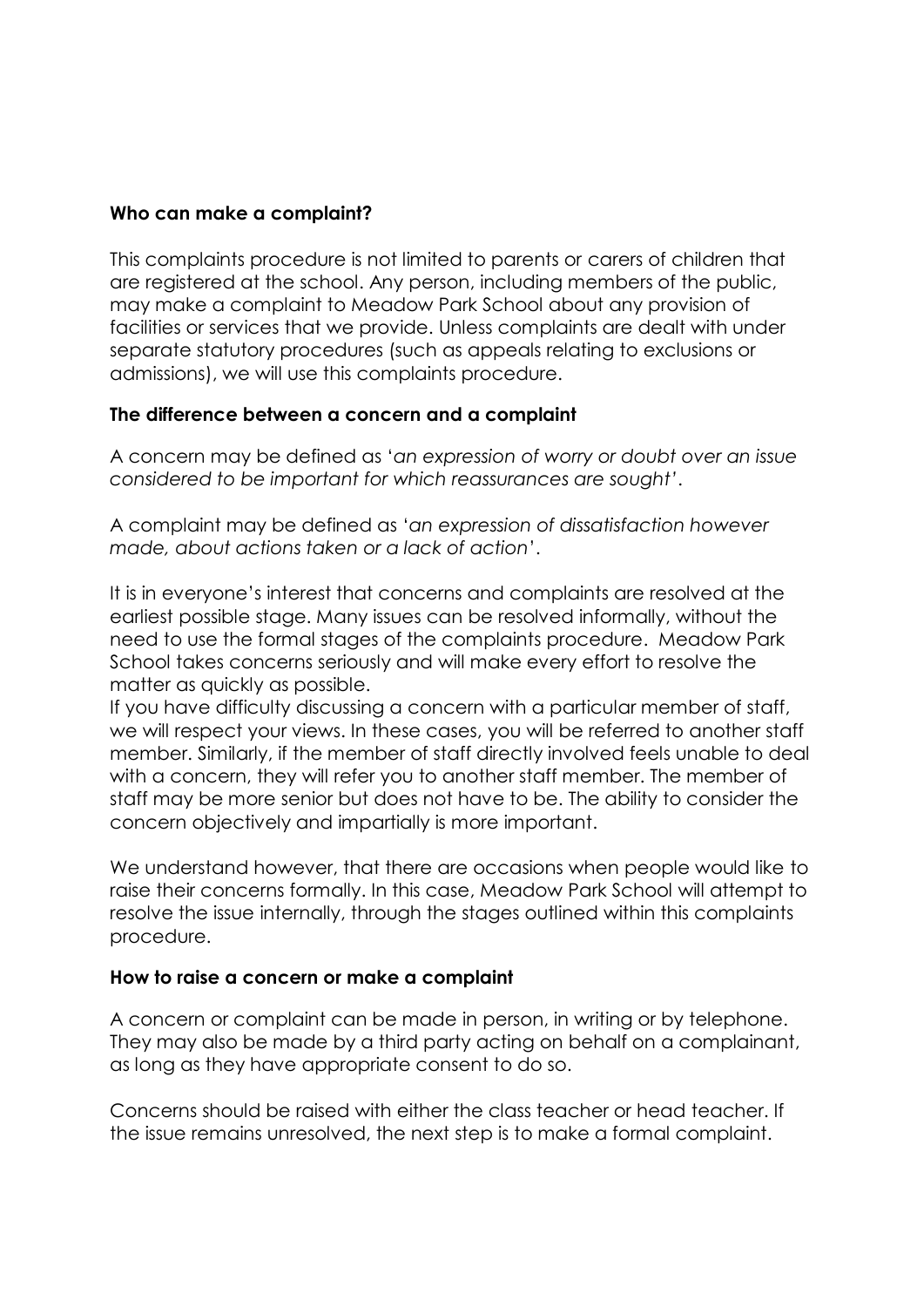#### **Who can make a complaint?**

This complaints procedure is not limited to parents or carers of children that are registered at the school. Any person, including members of the public, may make a complaint to Meadow Park School about any provision of facilities or services that we provide. Unless complaints are dealt with under separate statutory procedures (such as appeals relating to exclusions or admissions), we will use this complaints procedure.

#### **The difference between a concern and a complaint**

A concern may be defined as '*an expression of worry or doubt over an issue considered to be important for which reassurances are sought'*.

A complaint may be defined as '*an expression of dissatisfaction however made, about actions taken or a lack of action*'.

It is in everyone's interest that concerns and complaints are resolved at the earliest possible stage. Many issues can be resolved informally, without the need to use the formal stages of the complaints procedure. Meadow Park School takes concerns seriously and will make every effort to resolve the matter as quickly as possible.

If you have difficulty discussing a concern with a particular member of staff, we will respect your views. In these cases, you will be referred to another staff member. Similarly, if the member of staff directly involved feels unable to deal with a concern, they will refer you to another staff member. The member of staff may be more senior but does not have to be. The ability to consider the concern objectively and impartially is more important.

We understand however, that there are occasions when people would like to raise their concerns formally. In this case, Meadow Park School will attempt to resolve the issue internally, through the stages outlined within this complaints procedure.

#### **How to raise a concern or make a complaint**

A concern or complaint can be made in person, in writing or by telephone. They may also be made by a third party acting on behalf on a complainant, as long as they have appropriate consent to do so.

Concerns should be raised with either the class teacher or head teacher. If the issue remains unresolved, the next step is to make a formal complaint.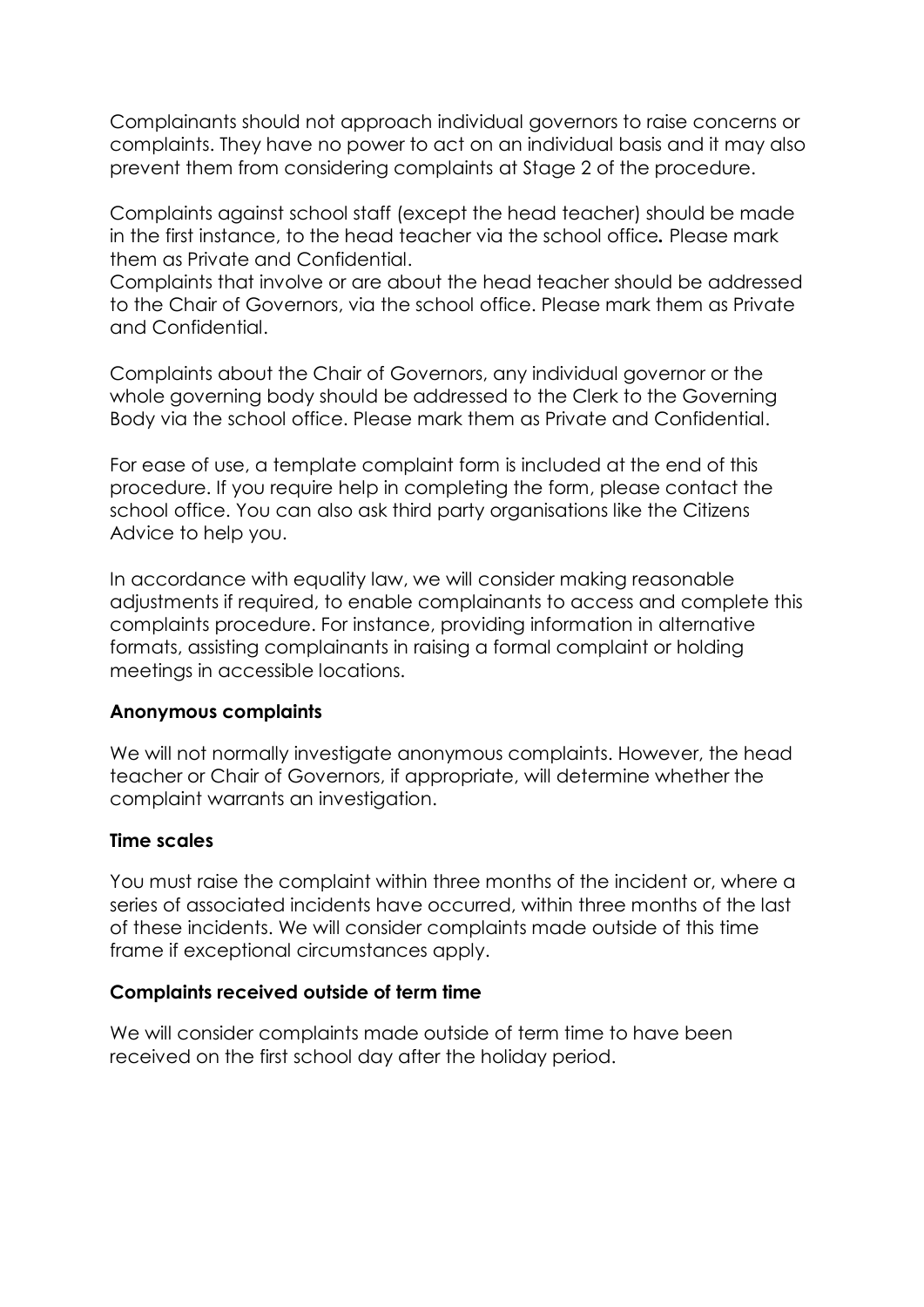Complainants should not approach individual governors to raise concerns or complaints. They have no power to act on an individual basis and it may also prevent them from considering complaints at Stage 2 of the procedure.

Complaints against school staff (except the head teacher) should be made in the first instance, to the head teacher via the school office*.* Please mark them as Private and Confidential.

Complaints that involve or are about the head teacher should be addressed to the Chair of Governors, via the school office. Please mark them as Private and Confidential.

Complaints about the Chair of Governors, any individual governor or the whole governing body should be addressed to the Clerk to the Governing Body via the school office. Please mark them as Private and Confidential.

For ease of use, a template complaint form is included at the end of this procedure. If you require help in completing the form, please contact the school office. You can also ask third party organisations like the Citizens Advice to help you.

In accordance with equality law, we will consider making reasonable adjustments if required, to enable complainants to access and complete this complaints procedure. For instance, providing information in alternative formats, assisting complainants in raising a formal complaint or holding meetings in accessible locations.

## **Anonymous complaints**

We will not normally investigate anonymous complaints. However, the head teacher or Chair of Governors, if appropriate, will determine whether the complaint warrants an investigation.

## **Time scales**

You must raise the complaint within three months of the incident or, where a series of associated incidents have occurred, within three months of the last of these incidents. We will consider complaints made outside of this time frame if exceptional circumstances apply.

## **Complaints received outside of term time**

We will consider complaints made outside of term time to have been received on the first school day after the holiday period.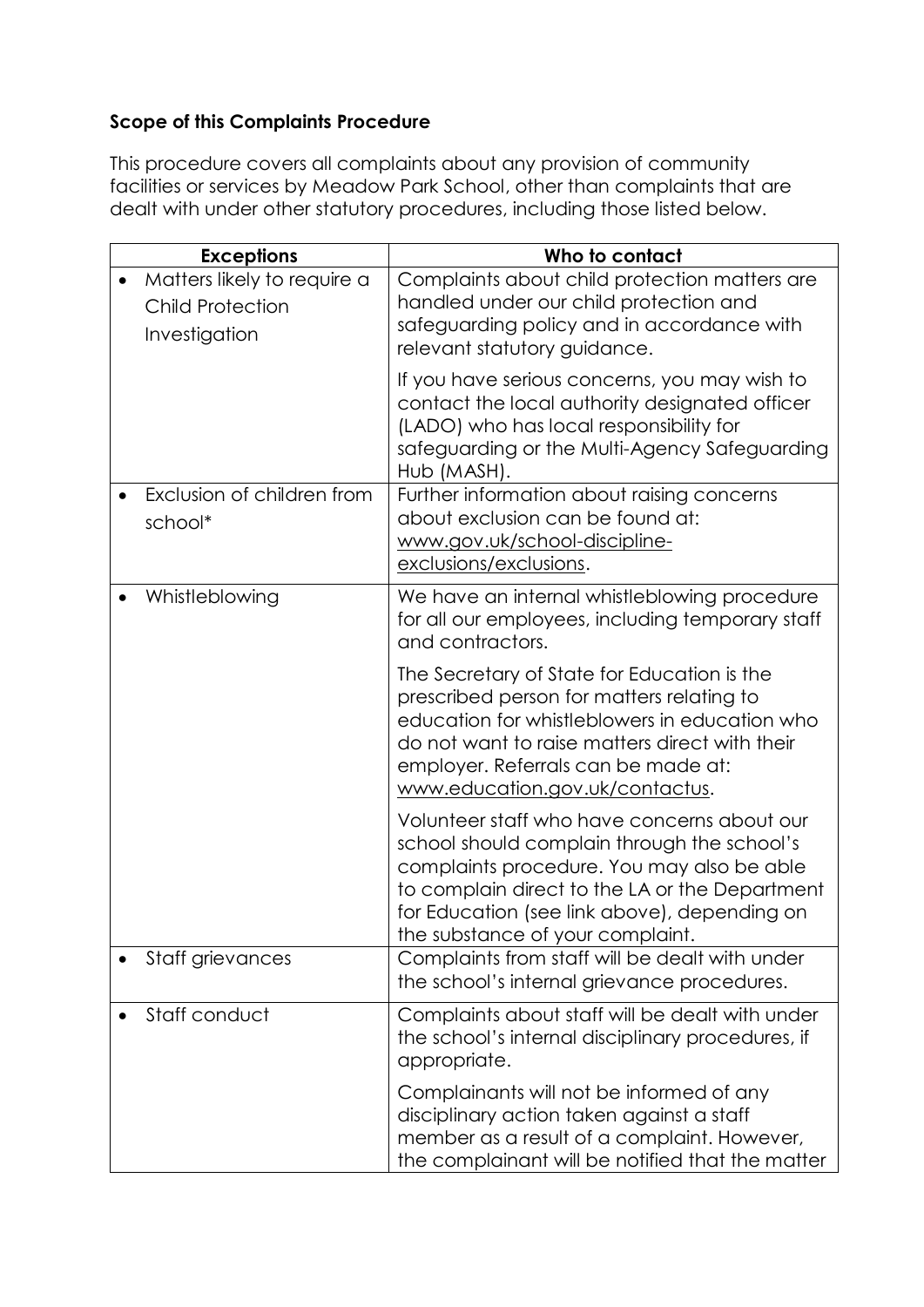# **Scope of this Complaints Procedure**

This procedure covers all complaints about any provision of community facilities or services by Meadow Park School, other than complaints that are dealt with under other statutory procedures, including those listed below.

| <b>Exceptions</b>                                                       | Who to contact                                                                                                                                                                                                                                                                 |
|-------------------------------------------------------------------------|--------------------------------------------------------------------------------------------------------------------------------------------------------------------------------------------------------------------------------------------------------------------------------|
| Matters likely to require a<br><b>Child Protection</b><br>Investigation | Complaints about child protection matters are<br>handled under our child protection and<br>safeguarding policy and in accordance with<br>relevant statutory guidance.                                                                                                          |
|                                                                         | If you have serious concerns, you may wish to<br>contact the local authority designated officer<br>(LADO) who has local responsibility for<br>safeguarding or the Multi-Agency Safeguarding<br>Hub (MASH).                                                                     |
| Exclusion of children from<br>school*                                   | Further information about raising concerns<br>about exclusion can be found at:<br>www.gov.uk/school-discipline-<br>exclusions/exclusions.                                                                                                                                      |
| Whistleblowing                                                          | We have an internal whistleblowing procedure<br>for all our employees, including temporary staff<br>and contractors.                                                                                                                                                           |
|                                                                         | The Secretary of State for Education is the<br>prescribed person for matters relating to<br>education for whistleblowers in education who<br>do not want to raise matters direct with their<br>employer. Referrals can be made at:<br>www.education.gov.uk/contactus.          |
|                                                                         | Volunteer staff who have concerns about our<br>school should complain through the school's<br>complaints procedure. You may also be able<br>to complain direct to the LA or the Department<br>for Education (see link above), depending on<br>the substance of your complaint. |
| Staff grievances                                                        | Complaints from staff will be dealt with under<br>the school's internal grievance procedures.                                                                                                                                                                                  |
| Staff conduct                                                           | Complaints about staff will be dealt with under<br>the school's internal disciplinary procedures, if<br>appropriate.                                                                                                                                                           |
|                                                                         | Complainants will not be informed of any<br>disciplinary action taken against a staff<br>member as a result of a complaint. However,<br>the complainant will be notified that the matter                                                                                       |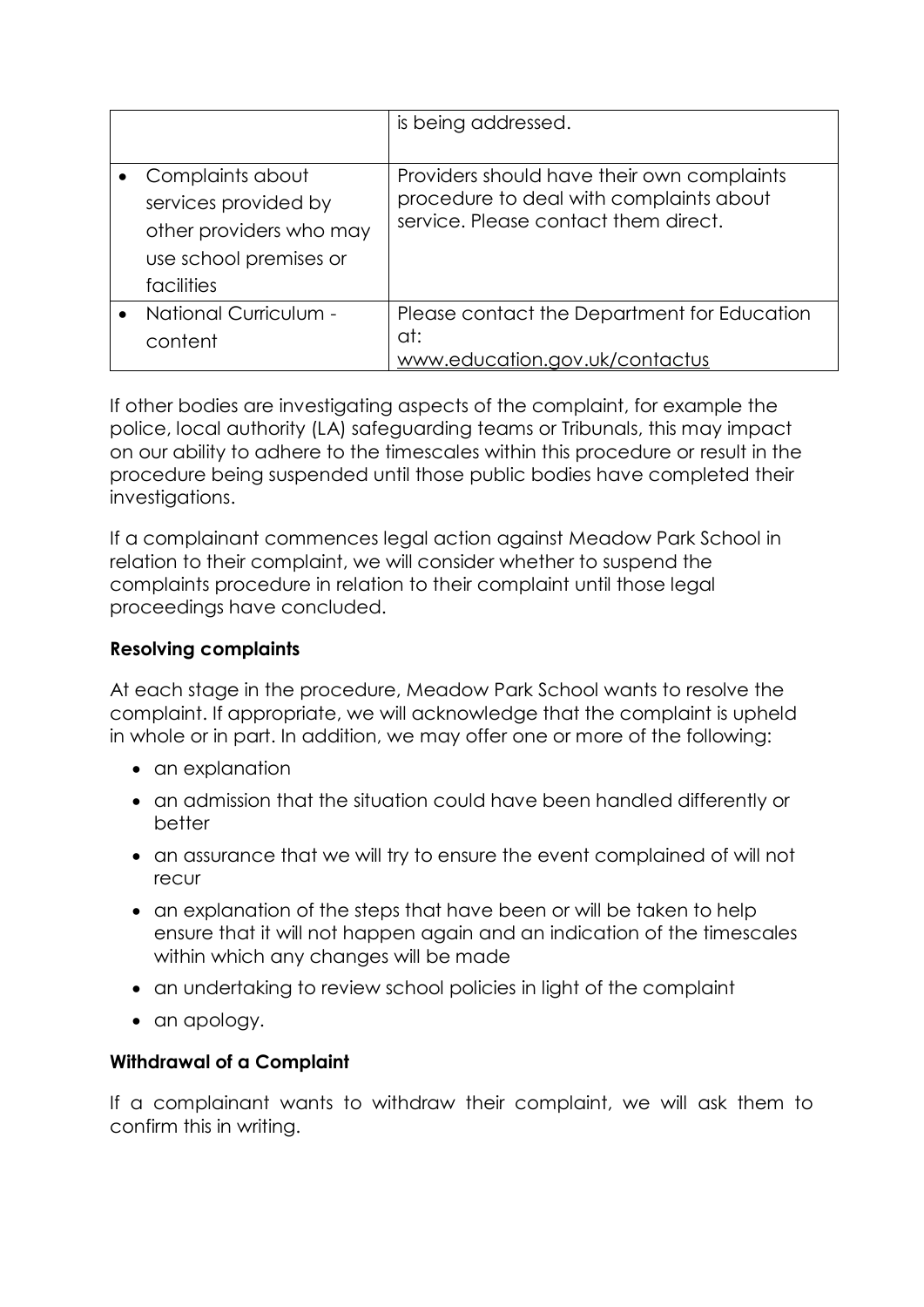|                                                                                                             | is being addressed.                                                                                                           |
|-------------------------------------------------------------------------------------------------------------|-------------------------------------------------------------------------------------------------------------------------------|
| Complaints about<br>services provided by<br>other providers who may<br>use school premises or<br>facilities | Providers should have their own complaints<br>procedure to deal with complaints about<br>service. Please contact them direct. |
| National Curriculum -<br>content                                                                            | Please contact the Department for Education<br>at:<br>www.education.gov.uk/contactus                                          |

If other bodies are investigating aspects of the complaint, for example the police, local authority (LA) safeguarding teams or Tribunals, this may impact on our ability to adhere to the timescales within this procedure or result in the procedure being suspended until those public bodies have completed their investigations.

If a complainant commences legal action against Meadow Park School in relation to their complaint, we will consider whether to suspend the complaints procedure in relation to their complaint until those legal proceedings have concluded.

## **Resolving complaints**

At each stage in the procedure, Meadow Park School wants to resolve the complaint. If appropriate, we will acknowledge that the complaint is upheld in whole or in part. In addition, we may offer one or more of the following:

- an explanation
- an admission that the situation could have been handled differently or better
- an assurance that we will try to ensure the event complained of will not recur
- an explanation of the steps that have been or will be taken to help ensure that it will not happen again and an indication of the timescales within which any changes will be made
- an undertaking to review school policies in light of the complaint
- an apology.

# **Withdrawal of a Complaint**

If a complainant wants to withdraw their complaint, we will ask them to confirm this in writing.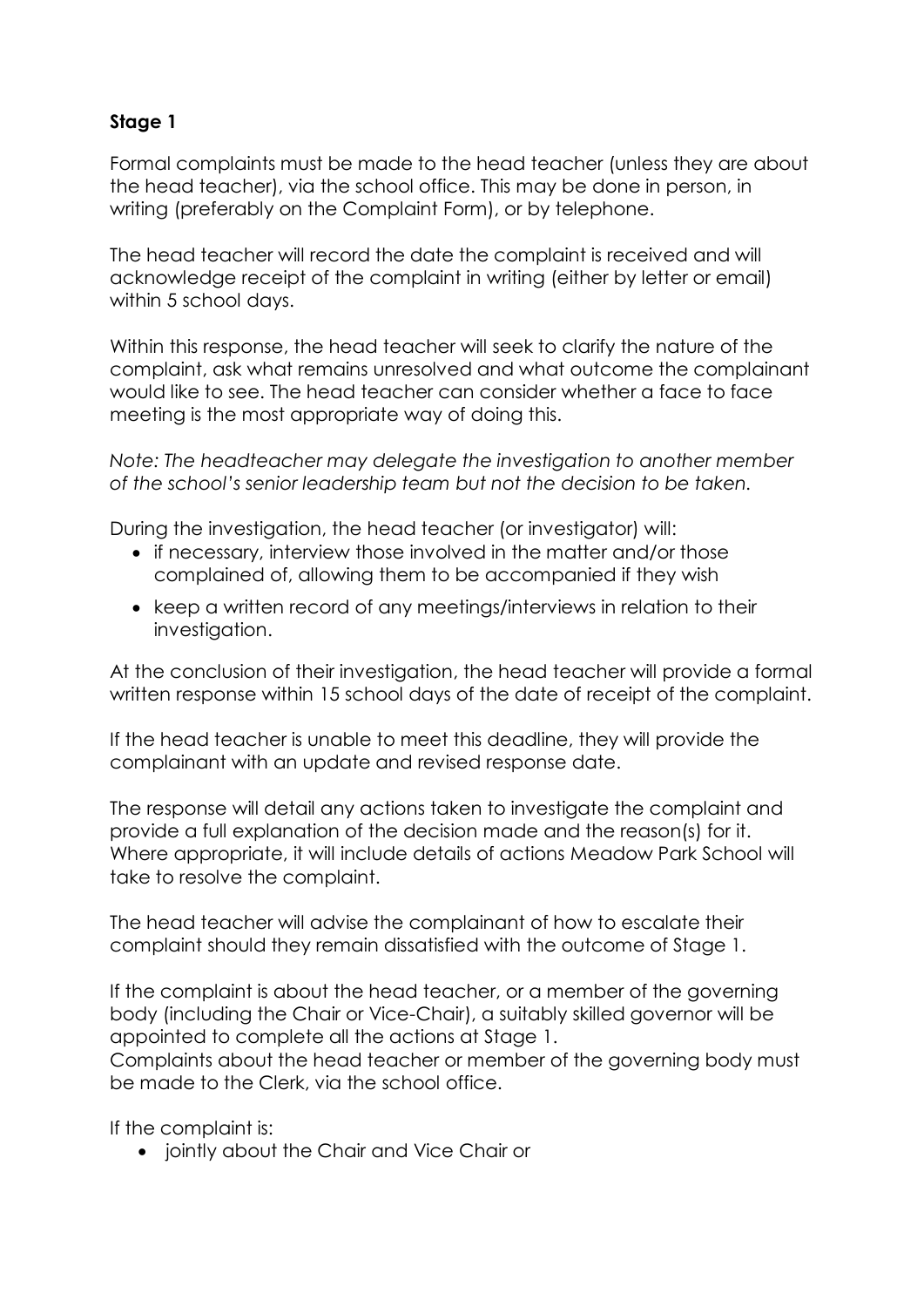# **Stage 1**

Formal complaints must be made to the head teacher (unless they are about the head teacher), via the school office. This may be done in person, in writing (preferably on the Complaint Form), or by telephone.

The head teacher will record the date the complaint is received and will acknowledge receipt of the complaint in writing (either by letter or email) within 5 school days.

Within this response, the head teacher will seek to clarify the nature of the complaint, ask what remains unresolved and what outcome the complainant would like to see. The head teacher can consider whether a face to face meeting is the most appropriate way of doing this.

*Note: The headteacher may delegate the investigation to another member of the school's senior leadership team but not the decision to be taken.*

During the investigation, the head teacher (or investigator) will:

- if necessary, interview those involved in the matter and/or those complained of, allowing them to be accompanied if they wish
- keep a written record of any meetings/interviews in relation to their investigation.

At the conclusion of their investigation, the head teacher will provide a formal written response within 15 school days of the date of receipt of the complaint.

If the head teacher is unable to meet this deadline, they will provide the complainant with an update and revised response date.

The response will detail any actions taken to investigate the complaint and provide a full explanation of the decision made and the reason(s) for it. Where appropriate, it will include details of actions Meadow Park School will take to resolve the complaint.

The head teacher will advise the complainant of how to escalate their complaint should they remain dissatisfied with the outcome of Stage 1.

If the complaint is about the head teacher, or a member of the governing body (including the Chair or Vice-Chair), a suitably skilled governor will be appointed to complete all the actions at Stage 1.

Complaints about the head teacher or member of the governing body must be made to the Clerk, via the school office.

If the complaint is:

• jointly about the Chair and Vice Chair or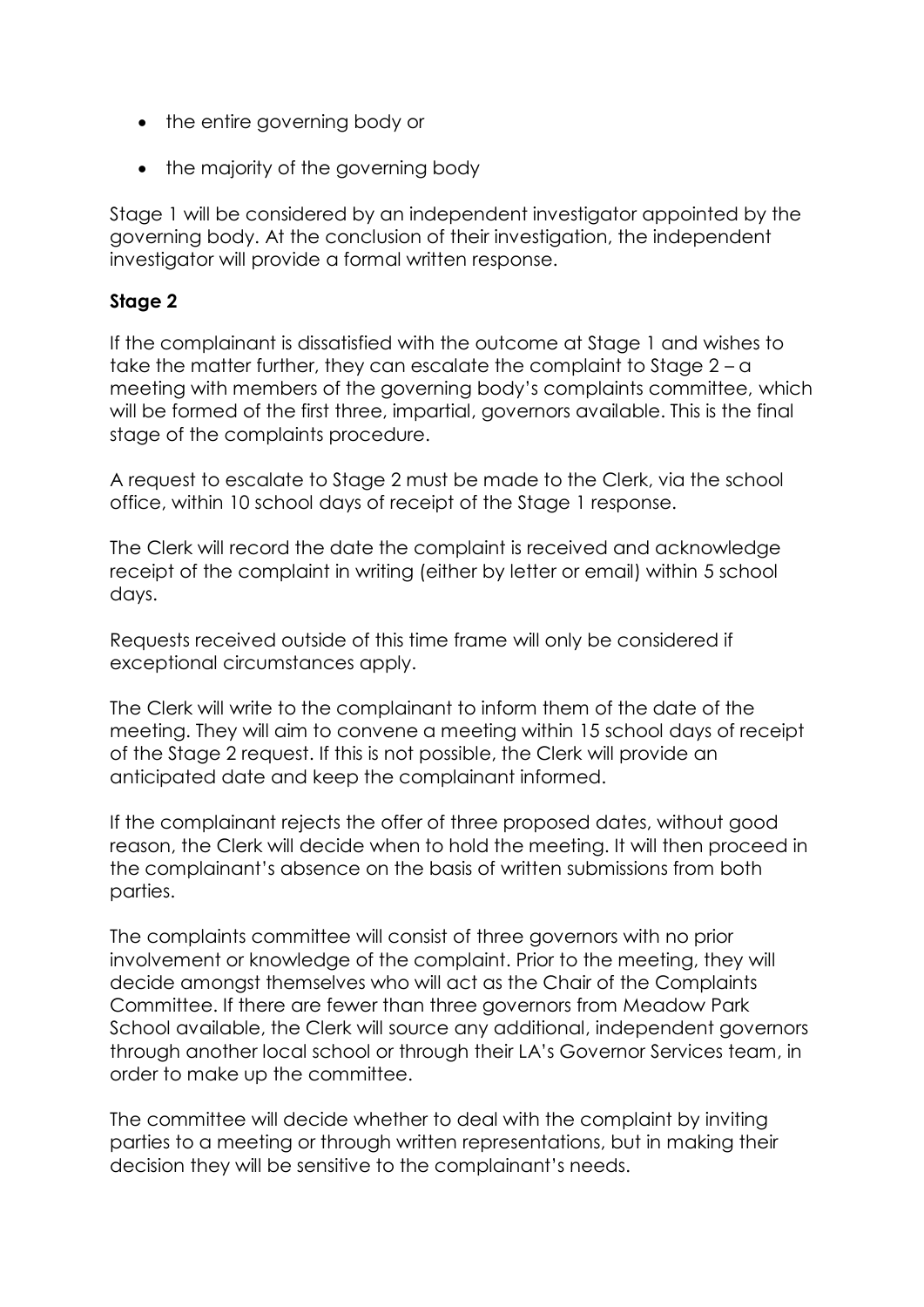- the entire governing body or
- the majority of the governing body

Stage 1 will be considered by an independent investigator appointed by the governing body. At the conclusion of their investigation, the independent investigator will provide a formal written response.

## **Stage 2**

If the complainant is dissatisfied with the outcome at Stage 1 and wishes to take the matter further, they can escalate the complaint to Stage  $2 - a$ meeting with members of the governing body's complaints committee, which will be formed of the first three, impartial, governors available. This is the final stage of the complaints procedure.

A request to escalate to Stage 2 must be made to the Clerk, via the school office, within 10 school days of receipt of the Stage 1 response.

The Clerk will record the date the complaint is received and acknowledge receipt of the complaint in writing (either by letter or email) within 5 school days.

Requests received outside of this time frame will only be considered if exceptional circumstances apply.

The Clerk will write to the complainant to inform them of the date of the meeting. They will aim to convene a meeting within 15 school days of receipt of the Stage 2 request. If this is not possible, the Clerk will provide an anticipated date and keep the complainant informed.

If the complainant rejects the offer of three proposed dates, without good reason, the Clerk will decide when to hold the meeting. It will then proceed in the complainant's absence on the basis of written submissions from both parties.

The complaints committee will consist of three governors with no prior involvement or knowledge of the complaint. Prior to the meeting, they will decide amongst themselves who will act as the Chair of the Complaints Committee. If there are fewer than three governors from Meadow Park School available, the Clerk will source any additional, independent governors through another local school or through their LA's Governor Services team, in order to make up the committee.

The committee will decide whether to deal with the complaint by inviting parties to a meeting or through written representations, but in making their decision they will be sensitive to the complainant's needs.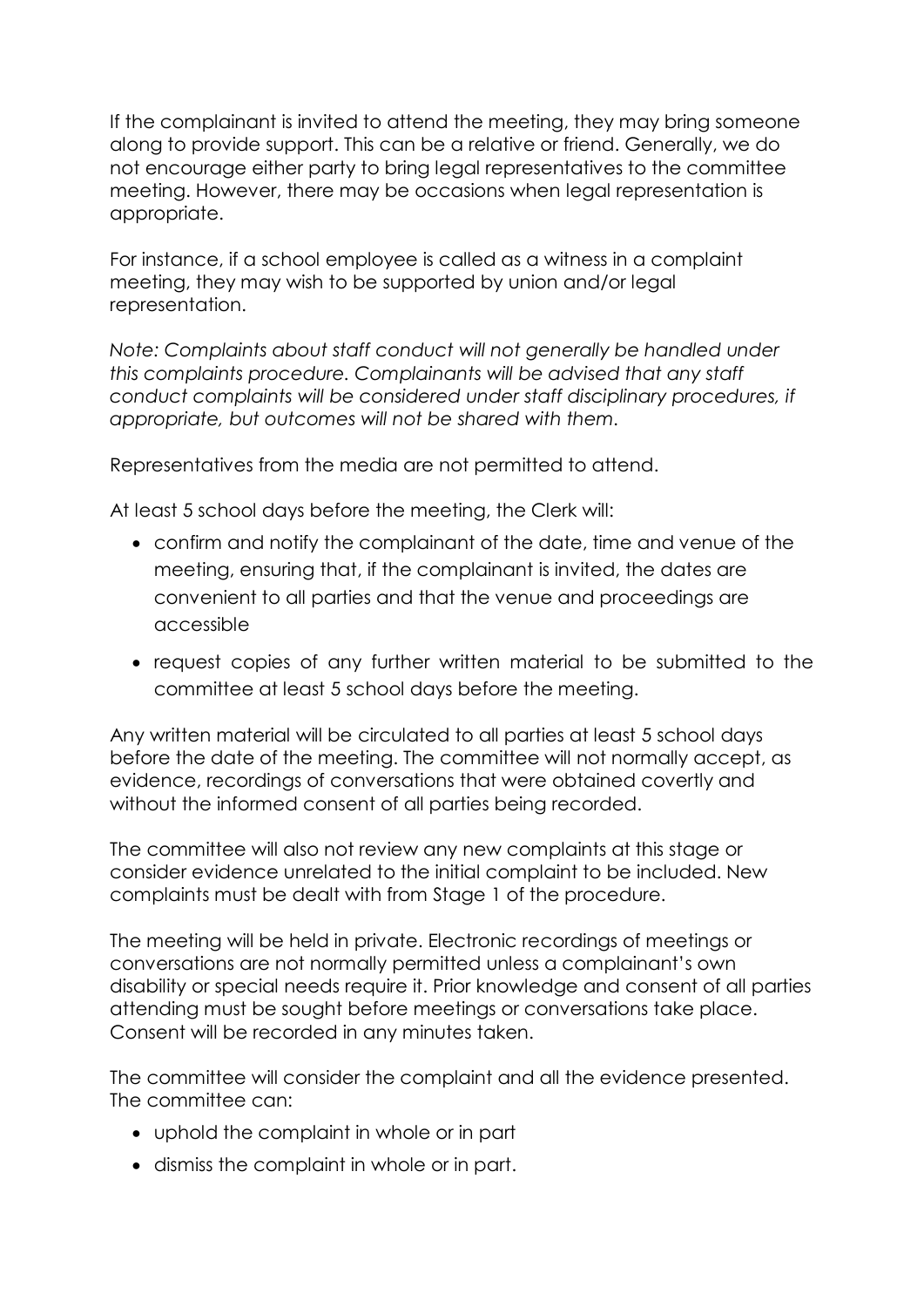If the complainant is invited to attend the meeting, they may bring someone along to provide support. This can be a relative or friend. Generally, we do not encourage either party to bring legal representatives to the committee meeting. However, there may be occasions when legal representation is appropriate.

For instance, if a school employee is called as a witness in a complaint meeting, they may wish to be supported by union and/or legal representation.

*Note: Complaints about staff conduct will not generally be handled under this complaints procedure. Complainants will be advised that any staff conduct complaints will be considered under staff disciplinary procedures, if appropriate, but outcomes will not be shared with them.* 

Representatives from the media are not permitted to attend.

At least 5 school days before the meeting, the Clerk will:

- confirm and notify the complainant of the date, time and venue of the meeting, ensuring that, if the complainant is invited, the dates are convenient to all parties and that the venue and proceedings are accessible
- request copies of any further written material to be submitted to the committee at least 5 school days before the meeting.

Any written material will be circulated to all parties at least 5 school days before the date of the meeting. The committee will not normally accept, as evidence, recordings of conversations that were obtained covertly and without the informed consent of all parties being recorded.

The committee will also not review any new complaints at this stage or consider evidence unrelated to the initial complaint to be included. New complaints must be dealt with from Stage 1 of the procedure.

The meeting will be held in private. Electronic recordings of meetings or conversations are not normally permitted unless a complainant's own disability or special needs require it. Prior knowledge and consent of all parties attending must be sought before meetings or conversations take place. Consent will be recorded in any minutes taken.

The committee will consider the complaint and all the evidence presented. The committee can:

- uphold the complaint in whole or in part
- dismiss the complaint in whole or in part.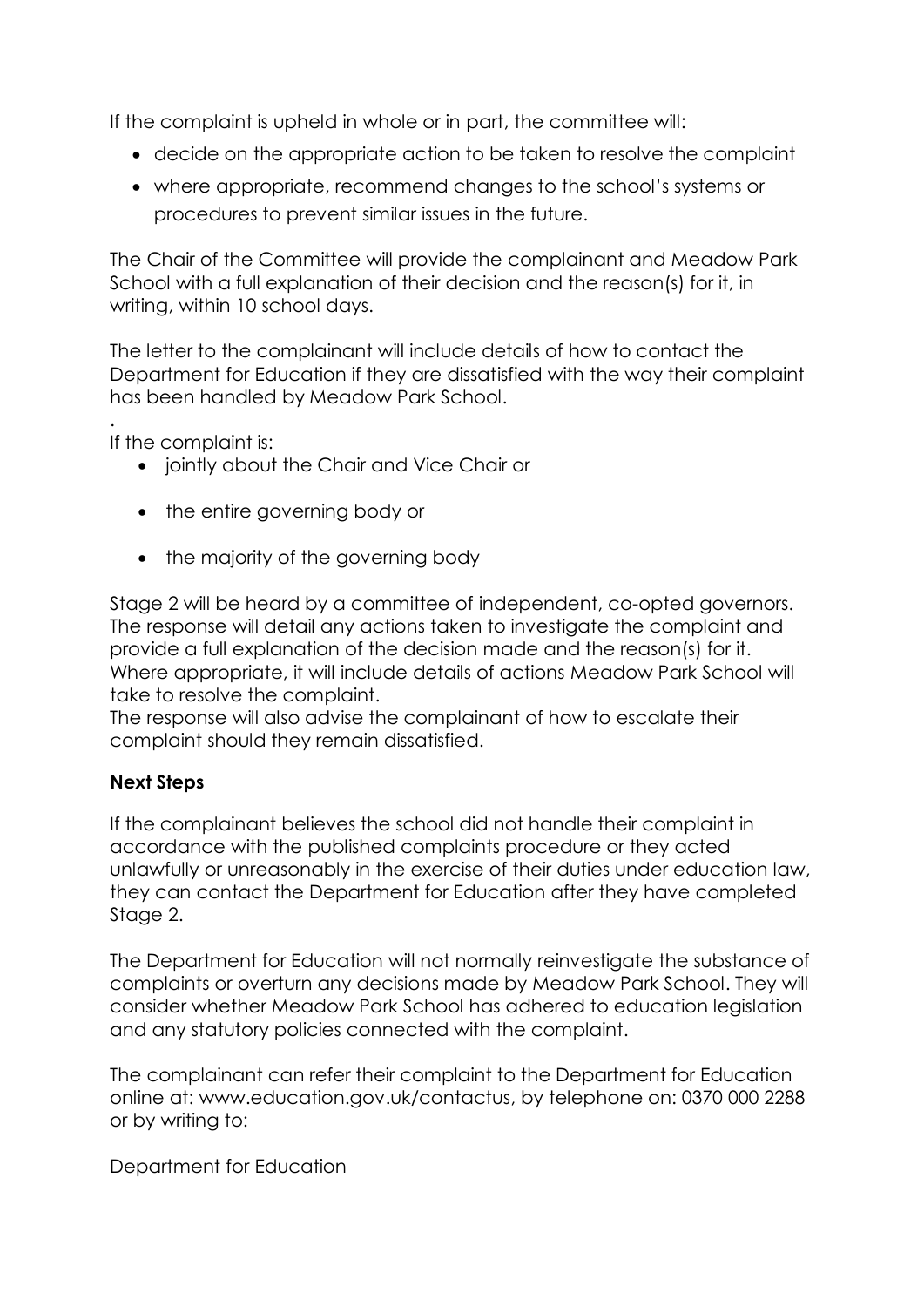If the complaint is upheld in whole or in part, the committee will:

- decide on the appropriate action to be taken to resolve the complaint
- where appropriate, recommend changes to the school's systems or procedures to prevent similar issues in the future.

The Chair of the Committee will provide the complainant and Meadow Park School with a full explanation of their decision and the reason(s) for it, in writing, within 10 school days.

The letter to the complainant will include details of how to contact the Department for Education if they are dissatisfied with the way their complaint has been handled by Meadow Park School.

. If the complaint is:

- jointly about the Chair and Vice Chair or
- the entire governing body or
- the majority of the governing body

Stage 2 will be heard by a committee of independent, co-opted governors. The response will detail any actions taken to investigate the complaint and provide a full explanation of the decision made and the reason(s) for it. Where appropriate, it will include details of actions Meadow Park School will take to resolve the complaint.

The response will also advise the complainant of how to escalate their complaint should they remain dissatisfied.

# **Next Steps**

If the complainant believes the school did not handle their complaint in accordance with the published complaints procedure or they acted unlawfully or unreasonably in the exercise of their duties under education law, they can contact the Department for Education after they have completed Stage 2.

The Department for Education will not normally reinvestigate the substance of complaints or overturn any decisions made by Meadow Park School. They will consider whether Meadow Park School has adhered to education legislation and any statutory policies connected with the complaint.

The complainant can refer their complaint to the Department for Education online at: [www.education.gov.uk/contactus,](http://www.education.gov.uk/contactus) by telephone on: 0370 000 2288 or by writing to:

Department for Education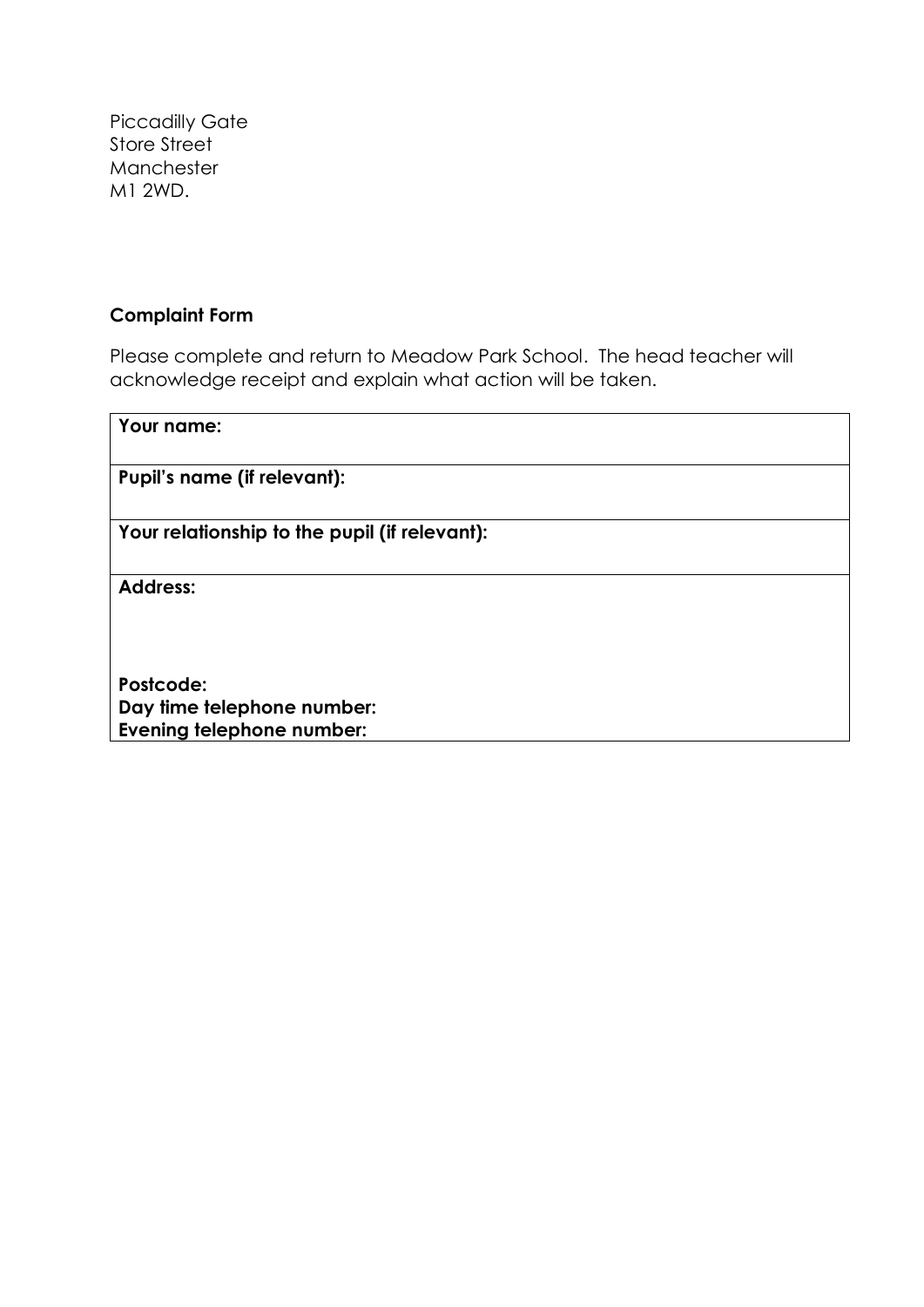Piccadilly Gate Store Street Manchester M1 2WD.

## **Complaint Form**

Please complete and return to Meadow Park School. The head teacher will acknowledge receipt and explain what action will be taken.

| Your name:                                    |
|-----------------------------------------------|
| Pupil's name (if relevant):                   |
| Your relationship to the pupil (if relevant): |
| <b>Address:</b>                               |
|                                               |
| Postcode:                                     |
| Day time telephone number:                    |
| Evening telephone number:                     |
|                                               |
|                                               |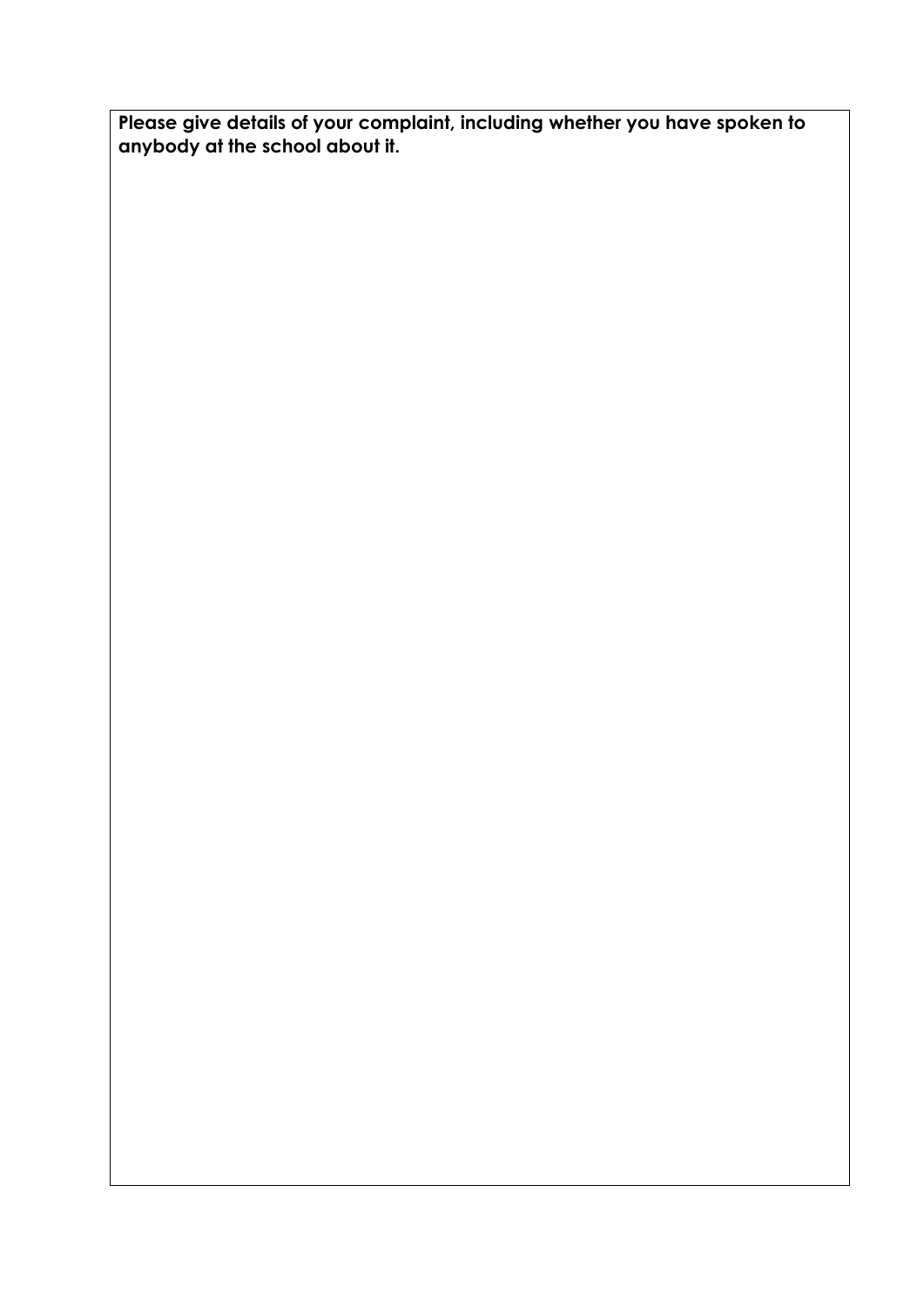**Please give details of your complaint, including whether you have spoken to anybody at the school about it.**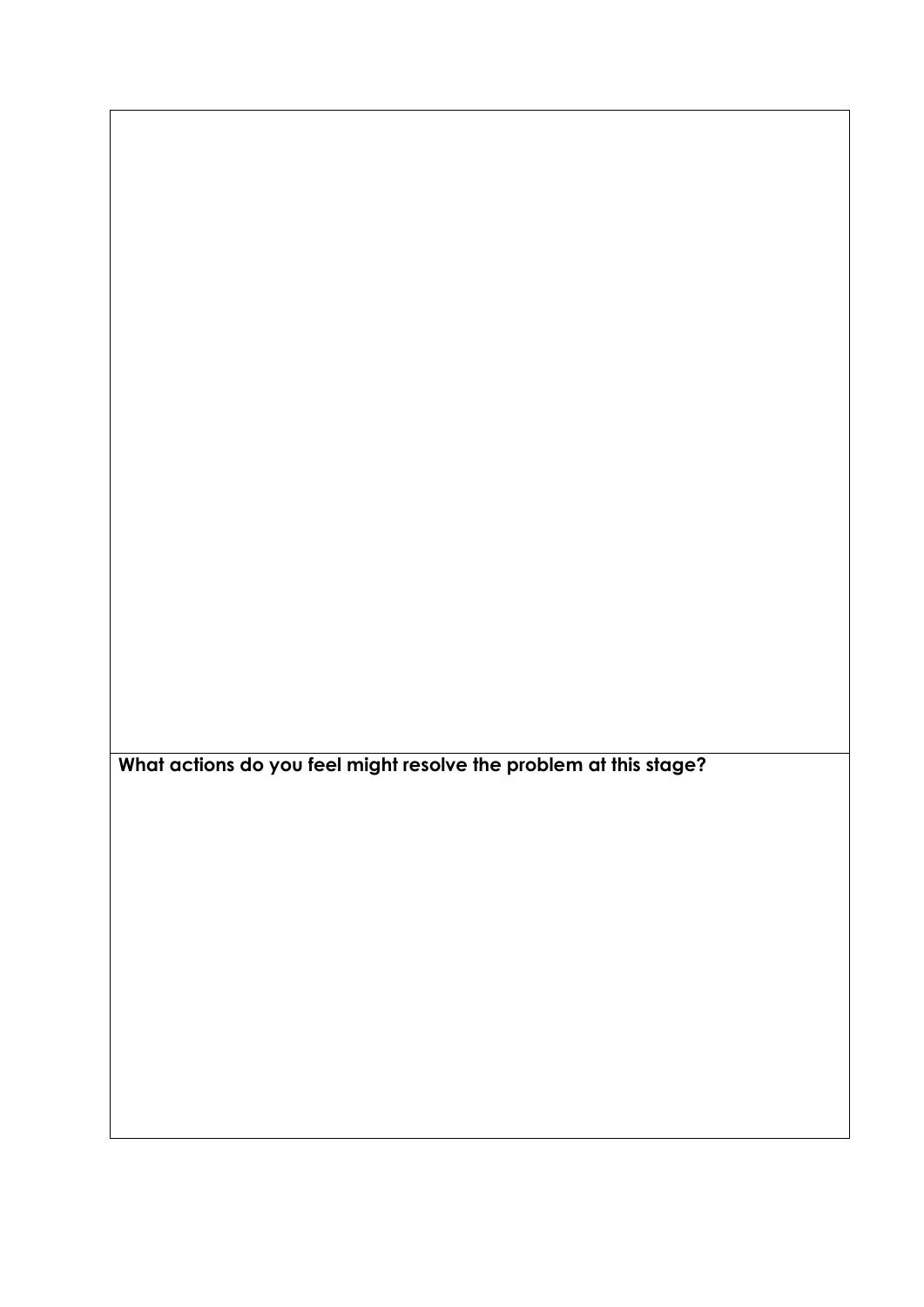**What actions do you feel might resolve the problem at this stage?**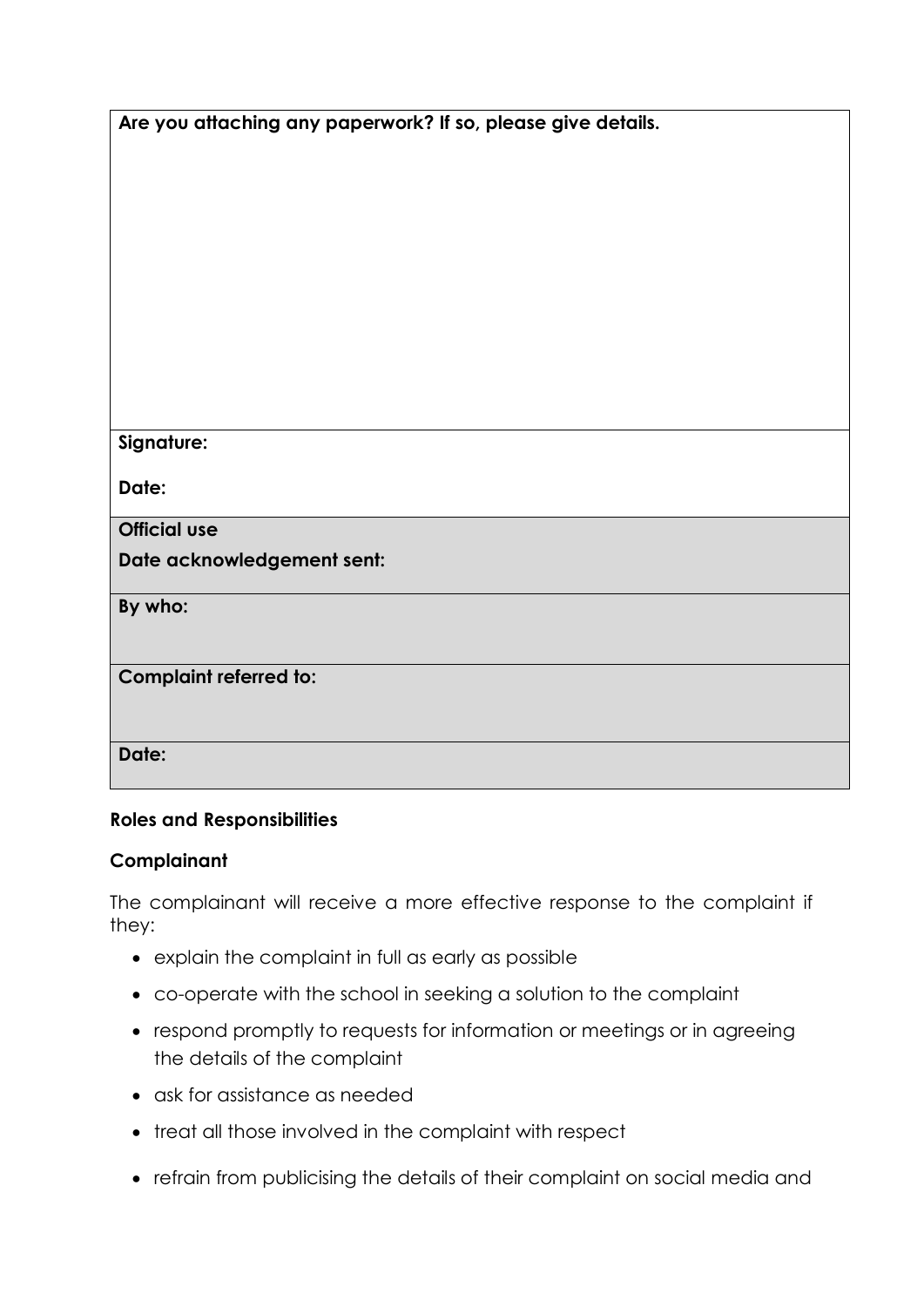| Are you attaching any paperwork? If so, please give details. |
|--------------------------------------------------------------|
|--------------------------------------------------------------|

| Signature:                    |
|-------------------------------|
| Date:                         |
| <b>Official use</b>           |
| Date acknowledgement sent:    |
| By who:                       |
| <b>Complaint referred to:</b> |
| Date:                         |

## **Roles and Responsibilities**

## **Complainant**

The complainant will receive a more effective response to the complaint if they:

- explain the complaint in full as early as possible
- co-operate with the school in seeking a solution to the complaint
- respond promptly to requests for information or meetings or in agreeing the details of the complaint
- ask for assistance as needed
- treat all those involved in the complaint with respect
- refrain from publicising the details of their complaint on social media and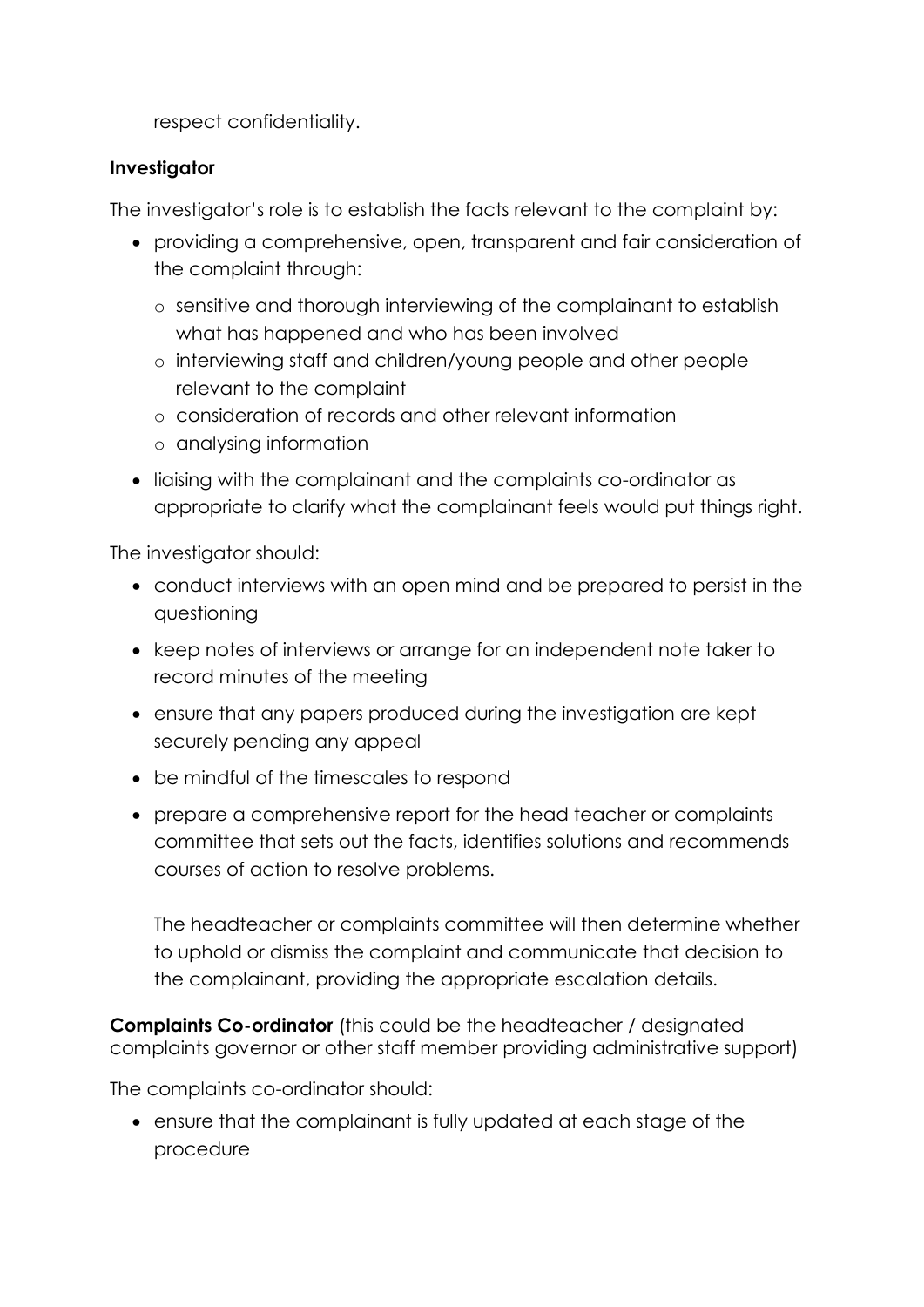respect confidentiality.

# **Investigator**

The investigator's role is to establish the facts relevant to the complaint by:

- providing a comprehensive, open, transparent and fair consideration of the complaint through:
	- o sensitive and thorough interviewing of the complainant to establish what has happened and who has been involved
	- o interviewing staff and children/young people and other people relevant to the complaint
	- o consideration of records and other relevant information
	- o analysing information
- liaising with the complainant and the complaints co-ordinator as appropriate to clarify what the complainant feels would put things right.

The investigator should:

- conduct interviews with an open mind and be prepared to persist in the questioning
- keep notes of interviews or arrange for an independent note taker to record minutes of the meeting
- ensure that any papers produced during the investigation are kept securely pending any appeal
- be mindful of the timescales to respond
- prepare a comprehensive report for the head teacher or complaints committee that sets out the facts, identifies solutions and recommends courses of action to resolve problems.

The headteacher or complaints committee will then determine whether to uphold or dismiss the complaint and communicate that decision to the complainant, providing the appropriate escalation details.

**Complaints Co-ordinator** (this could be the headteacher / designated complaints governor or other staff member providing administrative support)

The complaints co-ordinator should:

 ensure that the complainant is fully updated at each stage of the procedure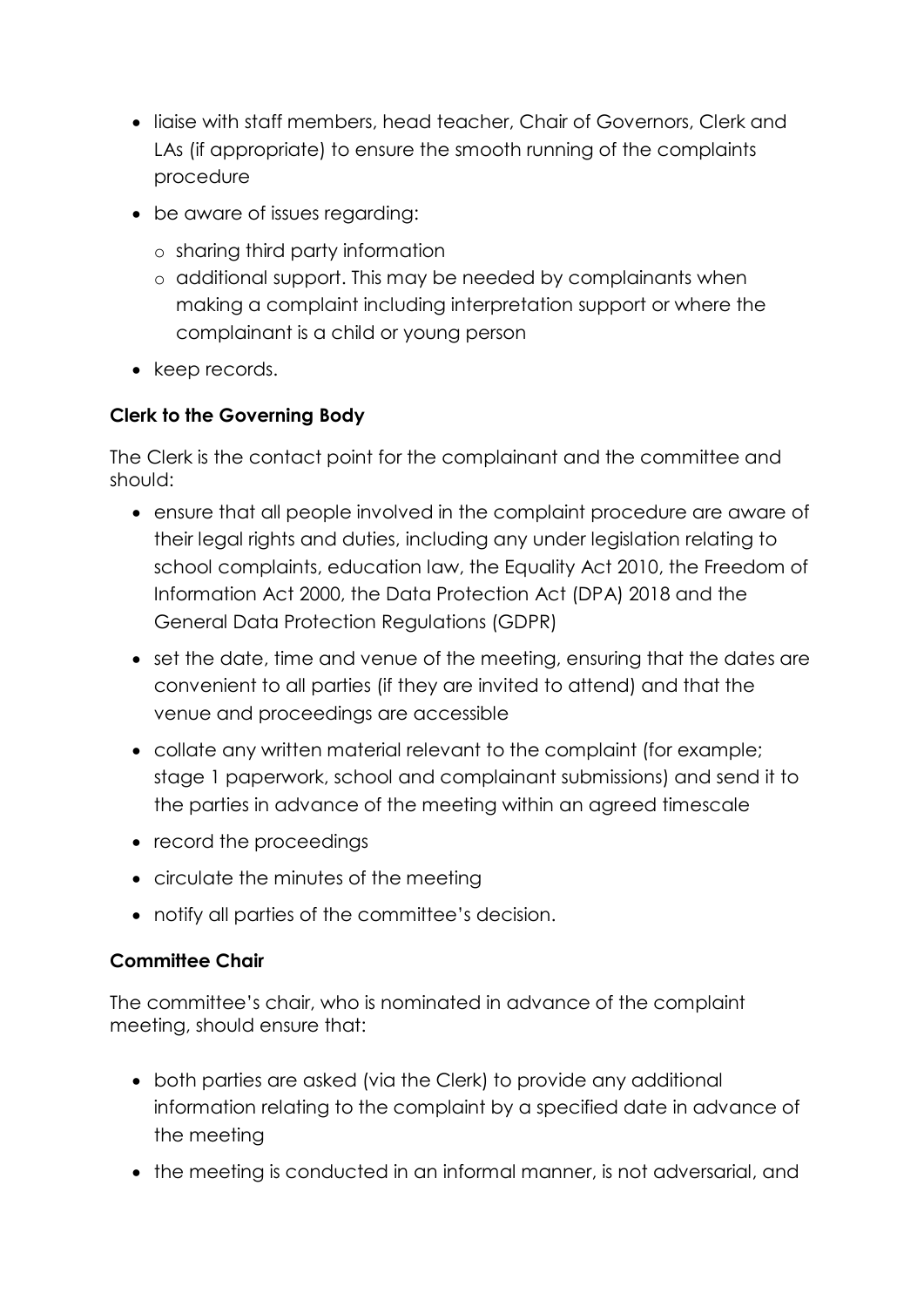- liaise with staff members, head teacher, Chair of Governors, Clerk and LAs (if appropriate) to ensure the smooth running of the complaints procedure
- be aware of issues regarding:
	- o sharing third party information
	- o additional support. This may be needed by complainants when making a complaint including interpretation support or where the complainant is a child or young person
- keep records.

# **Clerk to the Governing Body**

The Clerk is the contact point for the complainant and the committee and should:

- ensure that all people involved in the complaint procedure are aware of their legal rights and duties, including any under legislation relating to school complaints, education law, the Equality Act 2010, the Freedom of Information Act 2000, the Data Protection Act (DPA) 2018 and the General Data Protection Regulations (GDPR)
- set the date, time and venue of the meeting, ensuring that the dates are convenient to all parties (if they are invited to attend) and that the venue and proceedings are accessible
- collate any written material relevant to the complaint (for example; stage 1 paperwork, school and complainant submissions) and send it to the parties in advance of the meeting within an agreed timescale
- record the proceedings
- circulate the minutes of the meeting
- notify all parties of the committee's decision.

# **Committee Chair**

The committee's chair, who is nominated in advance of the complaint meeting, should ensure that:

- both parties are asked (via the Clerk) to provide any additional information relating to the complaint by a specified date in advance of the meeting
- the meeting is conducted in an informal manner, is not adversarial, and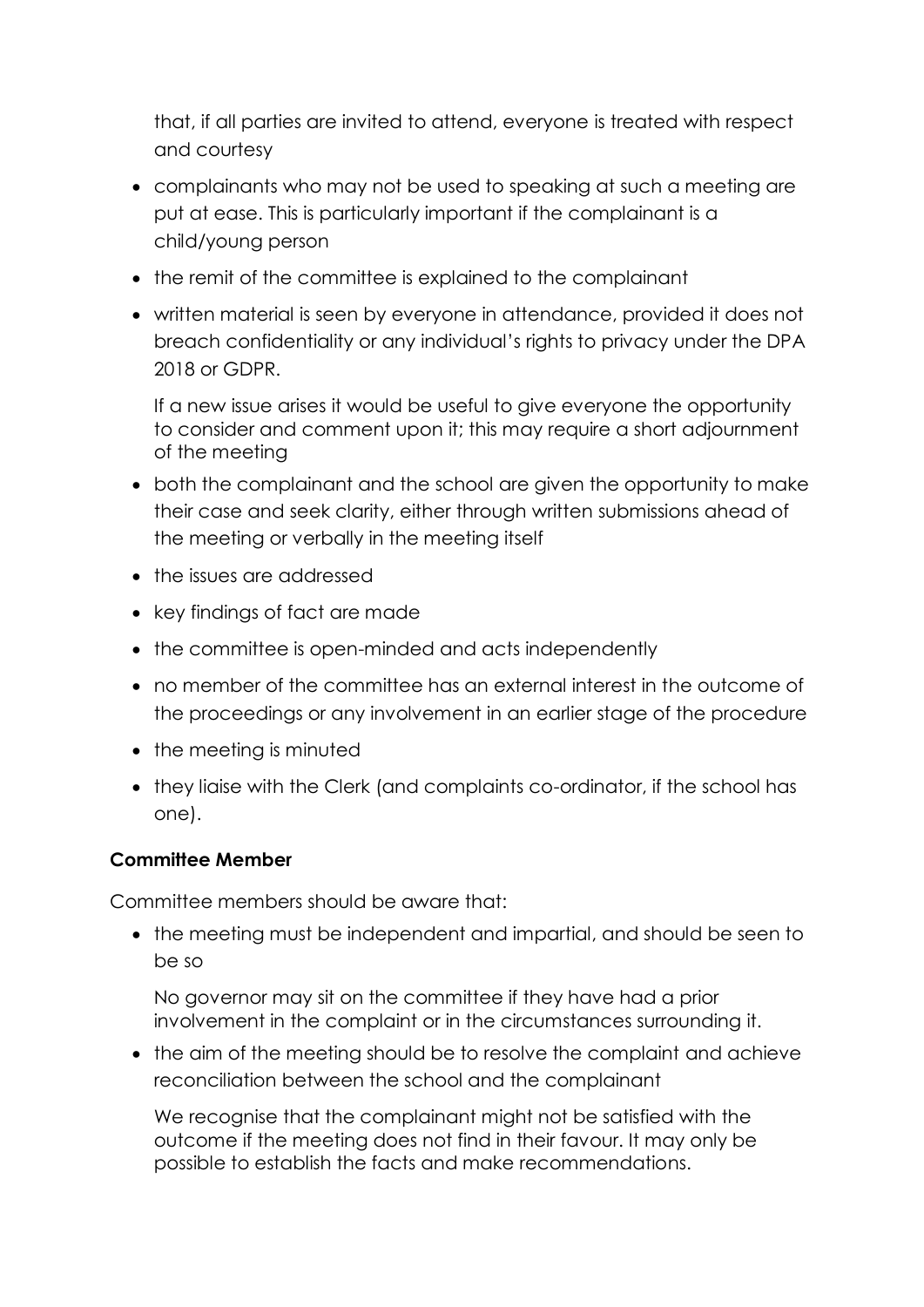that, if all parties are invited to attend, everyone is treated with respect and courtesy

- complainants who may not be used to speaking at such a meeting are put at ease. This is particularly important if the complainant is a child/young person
- the remit of the committee is explained to the complainant
- written material is seen by everyone in attendance, provided it does not breach confidentiality or any individual's rights to privacy under the DPA 2018 or GDPR.

If a new issue arises it would be useful to give everyone the opportunity to consider and comment upon it; this may require a short adjournment of the meeting

- both the complainant and the school are given the opportunity to make their case and seek clarity, either through written submissions ahead of the meeting or verbally in the meeting itself
- the issues are addressed
- key findings of fact are made
- the committee is open-minded and acts independently
- no member of the committee has an external interest in the outcome of the proceedings or any involvement in an earlier stage of the procedure
- the meeting is minuted
- they liaise with the Clerk (and complaints co-ordinator, if the school has one).

# **Committee Member**

Committee members should be aware that:

• the meeting must be independent and impartial, and should be seen to be so

No governor may sit on the committee if they have had a prior involvement in the complaint or in the circumstances surrounding it.

• the aim of the meeting should be to resolve the complaint and achieve reconciliation between the school and the complainant

We recognise that the complainant might not be satisfied with the outcome if the meeting does not find in their favour. It may only be possible to establish the facts and make recommendations.